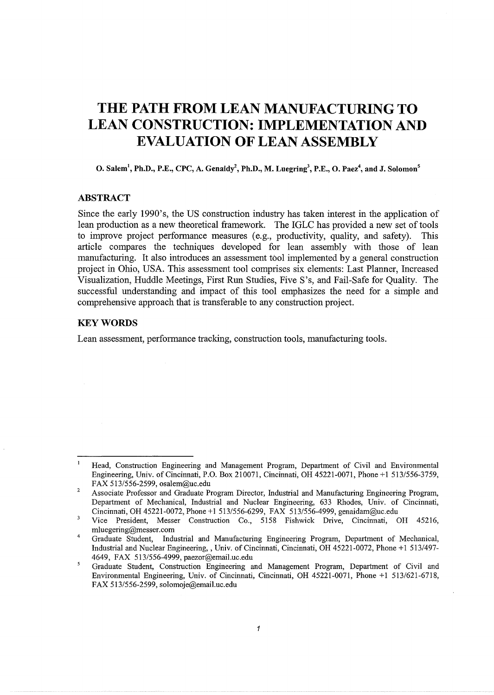# **THE PATH FROM LEAN MANUFACTURING TO LEAN CONSTRUCTION: IMPLEMENTATION AND EVALUATION OF LEAN ASSEMBLY**

O. Salem<sup>1</sup>, Ph.D., P.E., CPC, A. Genaidy<sup>2</sup>, Ph.D., M. Luegring<sup>3</sup>, P.E., O. Paez<sup>4</sup>, and J. Solomon<sup>5</sup>

## **ABSTRACT**

Since the early 1990's, the US construction industry has taken interest in the application of lean production as a new theoretical framework. The IGLC has provided a new set of tools to improve project performance measures (e.g., productivity, quality, and safety). This article compares the techniques developed for lean assembly with those of lean manufacturing. It also introduces an assessment tool implemented by a general construction project in Ohio, USA. This assessment tool comprises six elements: Last Planner, Increased Visualization, Huddle Meetings, First Run Studies, Five S's, and Fail-Safe for Quality. The successful understanding and impact of this tool emphasizes the need for a simple and comprehensive approach that is transferable to any construction project.

## **KEYWORDS**

Lean assessment, performance tracking, construction tools, manufacturing tools.

 $\mathbf{1}$ Head, Construction Engineering and Management Program, Department of Civil and Environmental Engineering, Univ. of Cincinnati, P.O. Box 210071, Cincinnati, OH 45221-0071, Phone +1 513/556-3759, FAX 513/556-2599, osalem@uc.edu

 $\overline{2}$ Associate Professor and Graduate Program Director, Industrial and Manufacturing Engineering Program, Department of Mechanical, Industrial and Nuclear Engineering, 633 Rhodes, Univ. of Cincinnati, Cincinnati, OH 45221-0072, Phone +1 513/556-6299, FAX 513/556-4999, genaidam@uc.edu

 $\overline{\mathbf{3}}$ Vice President, Messer Construction Co., 5158 Fishwick Drive, Cincinnati, OH 45216, mluegering@messer.com

<sup>4</sup>  Graduate Student, Industrial and Manufacturing Engineering Program, Department of Mechanical, Industrial and Nuclear Engineering,, Univ. of Cincinnati, Cincinnati, OH 45221-0072, Phone +1 513/497-4649, FAX 513/556-4999, paezor@email.uc.edu

 $\overline{5}$ Graduate Student, Construction Engineering and Management Program, Department of Civil and Environmental Engineering, Univ. of Cincinnati, Cincinnati, OH 45221-0071, Phone +1 513/621-6718, FAX 513/556-2599, solomoje@email.uc.edu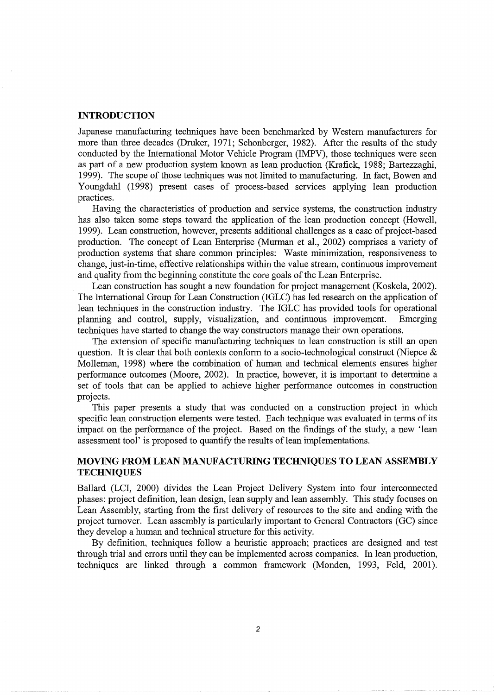## **INTRODUCTION**

Japanese manufacturing techniques have been benchmarked by Western manufacturers for more than three decades (Druker, 1971; Schonberger, 1982). After the results of the study conducted by the International Motor Vehicle Program (IMPV), those techniques were seen as part of a new production system known as lean production (Krafick, 1988; Bartezzaghi, 1999). The scope of those techniques was not limited to manufacturing. In fact, Bowen and Youngdahl (1998) present cases of process-based services applying lean production practices.

Having the characteristics of production and service systems, the construction industry has also taken some steps toward the application of the lean production concept (Howell, 1999). Lean construction, however, presents additional challenges as a case of project-based production. The concept of Lean Enterprise (Murman et al., 2002) comprises a variety of production systems that share common principles: Waste minimization, responsiveness to change, just-in-time, effective relationships within the value stream, continuous improvement and quality from the beginning constitute the core goals of the Lean Enterprise.

Lean construction has sought a new foundation for project management (Koskela, 2002). The International Group for Lean Construction (IGLC) has led research on the application of lean techniques in the construction industry. The IGLC has provided tools for operational planning and control, supply, visualization, and continuous improvement. Emerging techniques have started to change the way constructors manage their own operations.

The extension of specific manufacturing techniques to lean construction is still an open question. It is clear that both contexts conform to a socio-technological construct (Niepce  $\&$ Molleman, 1998) where the combination of human and technical elements ensures higher performance outcomes (Moore, 2002). In practice, however, it is important to determine a set of tools that can be applied to achieve higher performance outcomes in construction projects.

This paper presents a study that was conducted on a construction project in which specific lean construction elements were tested. Each technique was evaluated in terms of its impact on the performance of the project. Based on the findings of the study, a new 'lean assessment tool' is proposed to quantify the results of lean implementations.

# **MOVING FROM LEAN MANUFACTURING TECHNIQUES TO LEAN ASSEMBLY TECHNIQUES**

Ballard (LCI, 2000) divides the Lean Project Delivery System into four interconnected phases: project defmition, lean design, lean supply and lean assembly. This study focuses on Lean Assembly, starting from the first delivery of resources to the site and ending with the project turnover. Lean assembly is particularly important to General Contractors (GC) since they develop a human and technical structure for this activity.

By definition, techniques follow a heuristic approach; practices are designed and test through trial and errors until they can be implemented across companies. In lean production, techniques are linked through a common framework (Monden, 1993, Feld, 2001).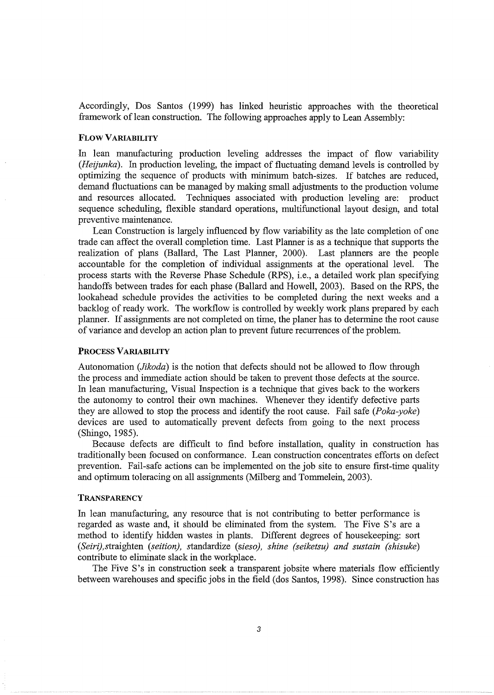Accordingly, Dos Santos (1999) has linked heuristic approaches with the theoretical framework of lean construction. The following approaches apply to Lean Assembly:

#### FLOW VARIABILITY

In lean manufacturing production leveling addresses the impact of flow variability *(Heijunka).* In production leveling, the impact of fluctuating demand levels is controlled by optimizing the sequence of products with minimum batch-sizes. If batches are reduced, demand fluctuations can be managed by making small adjustments to the production volume and resources allocated. Techniques associated with production leveling are: product sequence scheduling, flexible standard operations, multifunctional layout design, and total preventive maintenance.

Lean Construction is largely influenced by flow variability as the late completion of one trade can affect the overall completion time. Last Planner is as a technique that supports the realization of plans (Ballard, The Last Planner, 2000). Last planners are the people accountable for the completion of individual assignments at the operational level. The process starts with the Reverse Phase Schedule (RPS), i.e., a detailed work plan specifying handoffs between trades for each phase (Ballard and Howell, 2003). Based on the RPS, the lookahead schedule provides the activities to be completed during the next weeks and a backlog of ready work. The workflow is controlled by weekly work plans prepared by each planner. If assignments are not completed on time, the planer has to determine the root cause of variance and develop an action plan to prevent future recurrences of the problem.

#### PROCESS VARIABILITY

Autonomation *(Jikoda)* is the notion that defects should not be allowed to flow through the process and immediate action should be taken to prevent those defects at the source. In lean manufacturing, Visual Inspection is a technique that gives back to the workers the autonomy to control their own machines. Whenever they identify defective parts they are allowed to stop the process and identify the root cause. Fail safe *(Poka-yoke)*  devices are used to automatically prevent defects from going to the next process (Shingo, 1985).

Because defects are difficult to find before installation, quality in construction has traditionally been focused on conformance. Lean construction concentrates efforts on defect prevention. Fail-safe actions can be implemented on the job site to ensure first-time quality and optimum toleracing on all assignments (Milberg and Tommelein, 2003).

## **TRANSPARENCY**

In lean manufacturing, any resource that is not contributing to better performance is regarded as waste and, it should be eliminated from the system. The Five S's are a method to identify hidden wastes in plants. Different degrees of housekeeping: sort *(Seiri),straighten (seition),* standardize *(sieso), shine (seiketsu) and sustain (shisuke)*  contribute to eliminate slack in the workplace.

The Five S's in construction seek a transparent jobsite where materials flow efficiently between warehouses and specific jobs in the field (dos Santos, 1998). Since construction has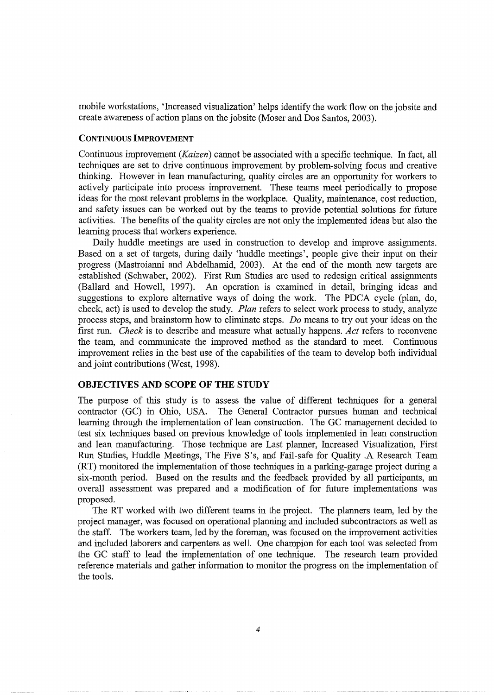mobile workstations, 'Increased visualization' helps identify the work flow on the jobsite and create awareness of action plans on the jobsite (Moser and Dos Santos, 2003).

## CONTINUOUS IMPROVEMENT

Continuous improvement *(Kaizen)* cannot be associated with a specific technique. In fact, all techniques are set to drive continuous improvement by problem-solving focus and creative thinking. However in lean manufacturing, quality circles are an opportunity for workers to actively participate into process improvement. These teams meet periodically to propose ideas for the most relevant problems in the workplace. Quality, maintenance, cost reduction, and safety issues can be worked out by the teams to provide potential solutions for future activities. The benefits of the quality circles are not only the implemented ideas but also the learning process that workers experience.

Daily huddle meetings are used in construction to develop and improve assignments. Based on a set of targets, during daily 'huddle meetings', people give their input on their progress (Mastroianni and Abdelhamid, 2003). At the end of the month new targets are established (Schwaber, 2002). First Run Studies are used to redesign critical assignments (Ballard and Howell, 1997). An operation is examined in detail, bringing ideas and suggestions to explore alternative ways of doing the work. The PDCA cycle (plan, do, check, act) is used to develop the study. *Plan* refers to select work process to study, analyze process steps, and brainstorm how to eliminate steps. *Do* means to try out your ideas on the first run. *Check* is to describe and measure what actually happens. *Act* refers to reconvene the team, and communicate the improved method as the standard to meet. Continuous improvement relies in the best use of the capabilities of the team to develop both individual and joint contributions (West, 1998).

## **OBJECTIVES AND SCOPE OF THE STUDY**

The purpose of this study is to assess the value of different techniques for a general contractor (GC) in Ohio, USA. The General Contractor pursues human and technical learning through the implementation of lean construction. The GC management decided to test six techniques based on previous knowledge of tools implemented in lean construction and lean manufacturing. Those technique are Last planner, Increased Visualization, First Run Studies, Huddle Meetings, The Five S's, and Fail-safe for Quality .A Research Team (RT) monitored the implementation of those techniques in a parking-garage project during a six-month period. Based on the results and the feedback provided by all participants, an overall assessment was prepared and a modification of for future implementations was proposed.

The RT worked with two different teams in the project. The planners team, led by the project manager, was focused on operational planning and included subcontractors as well as the staff. The workers team, led by the foreman, was focused on the improvement activities and included laborers and carpenters as well. One champion for each tool was selected from the GC staff to lead the implementation of one technique. The research team provided reference materials and gather information to monitor the progress on the implementation of the tools.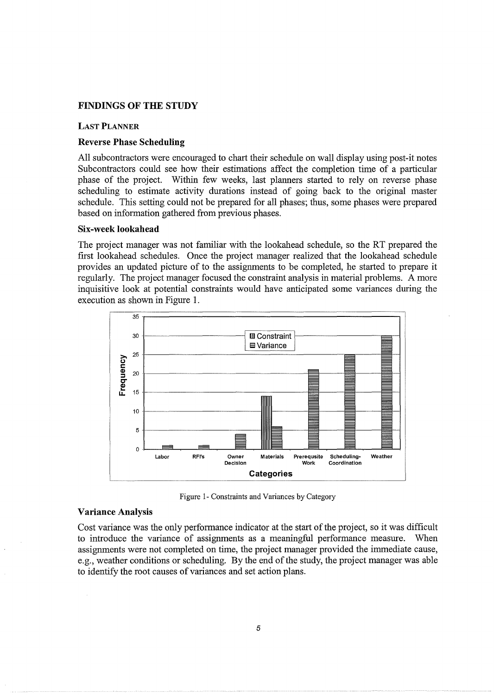## **FINDINGS OF THE STUDY**

#### **LAST PLANNER**

## **Reverse Phase Scheduling**

All subcontractors were encouraged to chart their schedule on wall display using post-it notes Subcontractors could see how their estimations affect the completion time of a particular phase of the project. Within few weeks, last planners started to rely on reverse phase scheduling to estimate activity durations instead of going back to the original master schedule. This setting could not be prepared for all phases; thus, some phases were prepared based on information gathered from previous phases.

## **Six-week lookahead**

The project manager was not familiar with the lookahead schedule, so the RT prepared the first lookahead schedules. Once the project manager realized that the lookahead schedule provides an updated picture of to the assignments to be completed, he started to prepare it regularly. The project manager focused the constraint analysis in material problems. A more inquisitive look at potential constraints would have anticipated some variances during the execution as shown in Figure 1.



Figure 1- Constraints and Variances by Category

## **Variance Analysis**

Cost variance was the only performance indicator at the start of the project, so it was difficult to introduce the variance of assignments as a meaningful performance measure. When assignments were not completed on time, the project manager provided the immediate cause, e.g., weather conditions or scheduling. By the end of the study, the project manager was able to identify the root causes of variances and set action plans.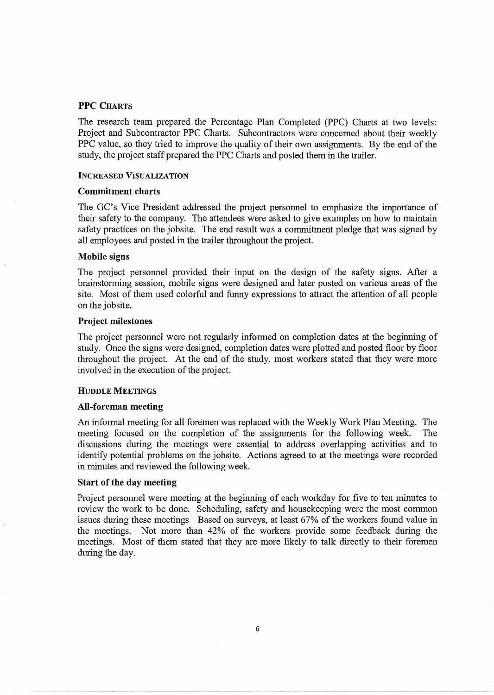## PPC CHARTS

The research team prepared the Percentage Plan Completed (PPC) Charts at two levels: Project and Subcontractor PPC Charts. Subcontractors were concerned about their weekly PPC value, so they tried to improve the quality of their own assignments. By the end of the study, the project staff prepared the PPC Charts and posted them in the trailer.

## INCREASED VISUALIZATION

## Commitment charts

The GC's Vice President addressed the project personnel to emphasize the importance of their safety to the company. The attendees were asked to give examples on how to maintain safety practices on the jobsite. The end result was a commitment pledge that was signed by all employees and posted in the trailer throughout the project.

## Mobile signs

The project personnel provided their input on the design of the safety signs. After a brainstorming session, mobile signs were designed and later posted on various areas of the site. Most of them used colorful and funny expressions to attract the attention of all people on the jobsite.

## Project milestones

The project personnel were not regularly informed on completion dates at the beginning of study. Once the signs were designed, completion dates were plotted and posted floor by floor throughout the project. At the end of the study, most workers stated that they were more involved in the execution of the project.

#### HUDDLE MEETINGS

#### All-foreman meeting

An informal meeting for all foremen was replaced with the Weekly Work Plan Meeting. The meeting focused on the completion of the assignments for the following week. The discussions during the meetings were essential to address overlapping activities and to identify potential problems on the jobsite. Actions agreed to at the meetings were recorded in minutes and reviewed the following week.

## Start of the day meeting

Project personnel were meeting at the beginning of each workday for five to ten minutes to review the work to be done. Scheduling, safety and housekeeping were the most common issues during these meetings Based on surveys, at least 67% of the workers found value in the meetings. Not more than 42% of the workers provide some feedback during the meetings. Most of them stated that they are more likely to talk directly to their foremen during the day.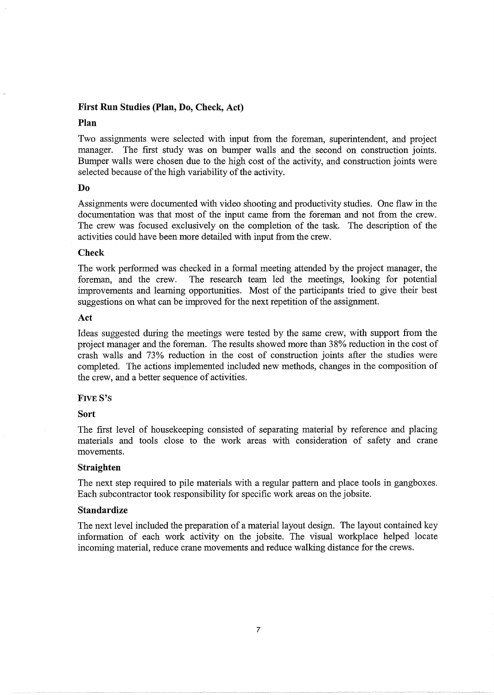## **First Run Studies (Plan, Do, Check, Act)**

## **Plan**

Two assignments were selected with input from the foreman, superintendent, and project manager. The first study was on bumper walls and the second on construction joints. Bumper walls were chosen due to the high cost of the activity, and construction joints were selected because of the high variability of the activity.

## **Do**

Assignments were documented with video shooting and productivity studies. One flaw in the documentation was that most of the input came from the foreman and not from the crew. The crew was focused exclusively on the completion of the task. The description of the activities could have been more detailed with input from the crew.

## **Check**

The work performed was checked in a formal meeting attended by the project manager, the foreman, and the crew. The research team led the meetings, looking for potential improvements and learning opportunities. Most of the participants tried to give their best suggestions on what can be improved for the next repetition of the assignment.

## **Act**

Ideas suggested during the meetings were tested by the same crew, with support from the project manager and the foreman. The results showed more than 38% reduction in the cost of crash walls and 73% reduction in the cost of construction joints after the studies were completed. The actions implemented included new methods, changes in the composition of the crew, and a better sequence of activities.

## FIVES's

## **Sort**

The first level of housekeeping consisted of separating material by reference and placing materials and tools close to the work areas with consideration of safety and crane movements.

## **Straighten**

The next step required to pile materials with a regular pattern and place tools in gangboxes. Each subcontractor took responsibility for specific work areas on the jobsite.

## **Standardize**

The next level included the preparation of a material layout design. The layout contained key information of each work activity on the jobsite. The visual workplace helped locate incoming material, reduce crane movements and reduce walking distance for the crews.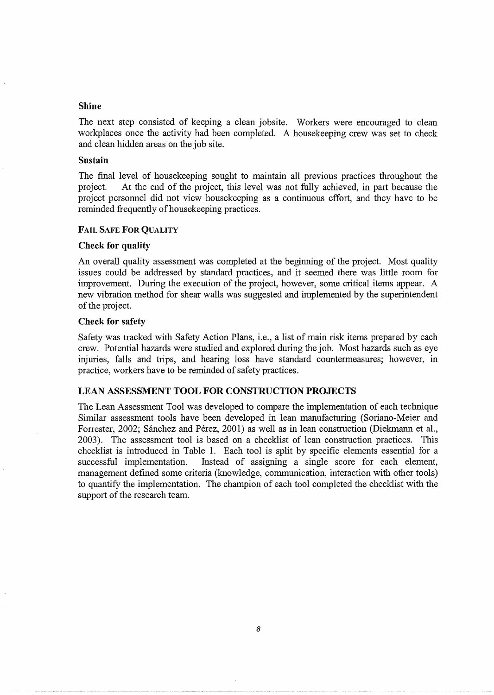## Shine

The next step consisted of keeping a clean jobsite. Workers were encouraged to clean workplaces once the activity had been completed. A housekeeping crew was set to check and clean hidden areas on the job site.

## Sustain

The final level of housekeeping sought to maintain all previous practices throughout the project. At the end of the project, this level was not fully achieved, in part because the project personnel did not view housekeeping as a continuous effort, and they have to be reminded frequently of housekeeping practices.

## FAIL SAFE FOR QUALITY

## Check for quality

An overall quality assessment was completed at the beginning of the project. Most quality issues could be addressed by standard practices, and it seemed there was little room for improvement. During the execution of the project, however, some critical items appear. A new vibration method for shear walls was suggested and implemented by the superintendent of the project.

## Check for safety

Safety was tracked with Safety Action Plans, i.e., a list of main risk items prepared by each crew. Potential hazards were studied and explored during the job. Most hazards such as eye injuries, falls and trips, and hearing loss have standard countermeasures; however, in practice, workers have to be reminded of safety practices.

# LEAN ASSESSMENT TOOL FOR CONSTRUCTION PROJECTS

The Lean Assessment Tool was developed to compare the implementation of each technique Similar assessment tools have been developed in lean manufacturing (Soriano-Meier and Forrester, 2002; Sánchez and Pérez, 2001) as well as in lean construction (Diekmann et al., 2003). The assessment tool is based on a checklist of lean construction practices. This checklist is introduced in Table 1. Each tool is split by specific elements essential for a successful implementation. Instead of assigning a single score for each element, management defined some criteria (knowledge, communication, interaction with other tools) to quantify the implementation. The champion of each tool completed the checklist with the support of the research team.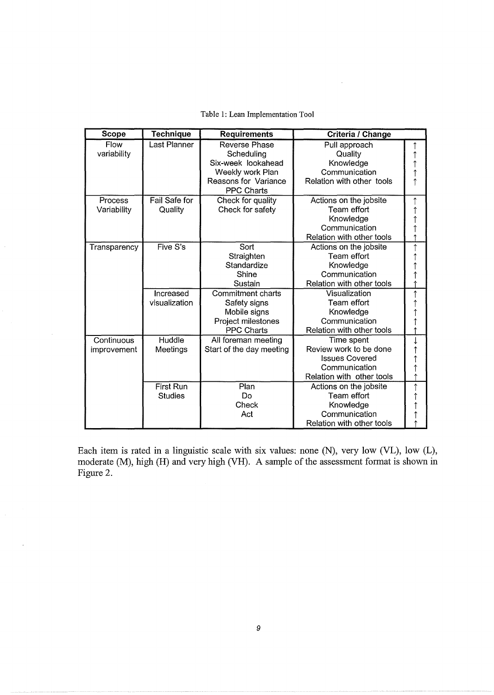|  |  | Table 1: Lean Implementation Tool |  |
|--|--|-----------------------------------|--|
|--|--|-----------------------------------|--|

 $\bar{\beta}$ 

| <b>Scope</b> | <b>Technique</b> | <b>Requirements</b>      | Criteria / Change         |                  |
|--------------|------------------|--------------------------|---------------------------|------------------|
| Flow         | Last Planner     | <b>Reverse Phase</b>     | Pull approach             | ↑                |
| variability  |                  | Scheduling               | Quality                   |                  |
|              |                  | Six-week lookahead       | Knowledge                 | 1<br>1<br>1      |
|              |                  | Weekly work Plan         | Communication             |                  |
|              |                  | Reasons for Variance     | Relation with other tools | Ť                |
|              |                  | <b>PPC Charts</b>        |                           |                  |
| Process      | Fail Safe for    | Check for quality        | Actions on the jobsite    | $\uparrow$       |
| Variability  | Quality          | Check for safety         | Team effort               | $\uparrow$       |
|              |                  |                          | Knowledge                 | $\dot{\uparrow}$ |
|              |                  |                          | Communication             | $\uparrow$       |
|              |                  |                          | Relation with other tools |                  |
| Transparency | Five S's         | Sort                     | Actions on the jobsite    | $\uparrow$       |
|              |                  | Straighten               | Team effort               | 1<br>1           |
|              |                  | Standardize              | Knowledge                 |                  |
|              |                  | Shine                    | Communication             | ↑                |
|              |                  | Sustain                  | Relation with other tools |                  |
|              | Increased        | <b>Commitment charts</b> | Visualization             | $\uparrow$       |
|              | visualization    | Safety signs             | Team effort               |                  |
|              |                  | Mobile signs             | Knowledge                 |                  |
|              |                  | Project milestones       | Communication             |                  |
|              |                  | <b>PPC Charts</b>        | Relation with other tools |                  |
| Continuous   | Huddle           | All foreman meeting      | Time spent                |                  |
| improvement  | Meetings         | Start of the day meeting | Review work to be done    | ↑<br>↑           |
|              |                  |                          | <b>Issues Covered</b>     |                  |
|              |                  |                          | Communication             | $\uparrow$       |
|              |                  |                          | Relation with other tools |                  |
|              | <b>First Run</b> | Plan                     | Actions on the jobsite    | ↑                |
|              | <b>Studies</b>   | Do                       | Team effort               |                  |
|              |                  | Check                    | Knowledge                 |                  |
|              |                  | Act                      | Communication             |                  |
|              |                  |                          | Relation with other tools |                  |

 $\hat{\boldsymbol{\beta}}$ 

 $\cdot$ 

Each item is rated in a linguistic scale with six values: none (N), very low (VL), low (L), moderate (M), high (H) and very high (VH). A sample of the assessment format is shown in Figure 2.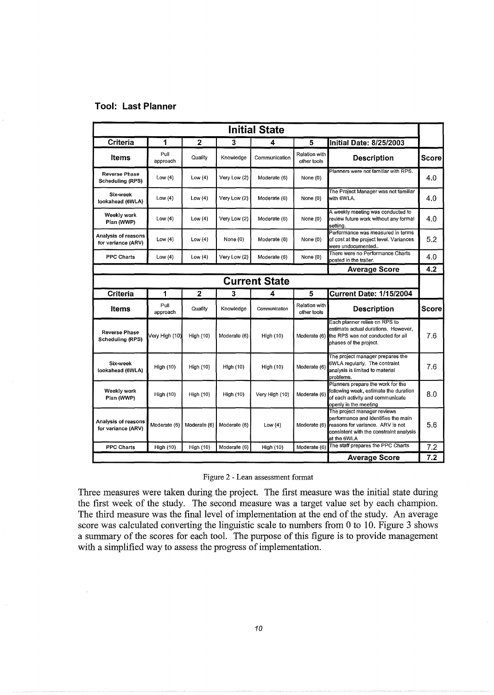# **Tool: Last Planner**

 $\bar{\mathcal{A}}$ 

| <b>Initial State</b>                            |                  |              |              |                      |                              |                                                                                                                                                                               |              |
|-------------------------------------------------|------------------|--------------|--------------|----------------------|------------------------------|-------------------------------------------------------------------------------------------------------------------------------------------------------------------------------|--------------|
| <b>Criteria</b>                                 | 1                | $\mathbf{2}$ | 3            | 4                    | 5                            | Initial Date: 8/25/2003                                                                                                                                                       |              |
| Items                                           | Pull<br>approach | Quality      | Knowledge    | Communication        | Relation with<br>other tools | <b>Description</b>                                                                                                                                                            | <b>Score</b> |
| <b>Reverse Phase</b><br><b>Scheduling (RPS)</b> | Low $(4)$        | Low(4)       | Very Low (2) | Moderate (6)         | None (0)                     | Planners were not familiar with RPS.                                                                                                                                          | 4.0          |
| Six-week<br>lookahead (6WLA)                    | Low $(4)$        | Low $(4)$    | Very Low (2) | Moderate (6)         | None (0)                     | The Project Manager was not familiar<br>with 6WLA.                                                                                                                            | 4.0          |
| Weekly work<br>Plan (WWP)                       | Low $(4)$        | Low $(4)$    | Very Low (2) | Moderate (6)         | None (0)                     | A weekly meeting was conducted to<br>review future work without any formal<br>settina.                                                                                        | 4.0          |
| Analysis of reasons<br>for variance (ARV)       | Low $(4)$        | Low $(4)$    | None (0)     | Moderate (6)         | None (0)                     | Performance was measured in terms<br>of cost at the project level. Variances<br>were undocumented                                                                             | 5.2          |
| <b>PPC Charts</b>                               | Low(4)           | Low $(4)$    | Very Low (2) | Moderate (6)         | None (0)                     | There were no Performance Charts<br>posted in the trailer.                                                                                                                    | 4.0          |
|                                                 |                  |              |              |                      |                              | <b>Average Score</b>                                                                                                                                                          | 4.2          |
|                                                 |                  |              |              | <b>Current State</b> |                              |                                                                                                                                                                               |              |
| <b>Criteria</b>                                 | 1                | $\mathbf{2}$ | 3            | 4                    | 5                            | <b>Current Date: 1/15/2004</b>                                                                                                                                                |              |
| <b>Items</b>                                    | Pull<br>approach | Quality      | Knowledge    | Communication        | Relation with<br>other tools | <b>Description</b>                                                                                                                                                            | <b>Score</b> |
| <b>Reverse Phase</b><br>Scheduling (RPS)        | Very High (10)   | High (10)    | Moderate (6) | High (10)            |                              | Each planner relies on RPS to<br>estimate actual durations. However,<br>Moderate (6) the RPS was not conducted for all<br>phases of the project.                              | 7.6          |
| Six-week<br>lookahead (6WLA)                    | High (10)        | High (10)    | High (10)    | High (10)            | Moderate (6)                 | The project manager prepares the<br>6WLA regularly. The contraint<br>analysis is limited to material<br>problems.                                                             | 7.6          |
| Weekly work<br>Plan (WWP)                       | High (10)        | High (10)    | High (10)    | Very High (10)       | Moderate (6)                 | Planners prepare the work for the<br>following week, estimate the duration<br>of each activity and communicate<br>openly in the meeting                                       | 8.0          |
| Analysis of reasons<br>for variance (ARV)       | Moderate (6)     | Moderate (6) | Moderate (6) | Low $(4)$            |                              | The project manager reviews<br>performance and identifies the main<br>Moderate (6) reasons for variance. ARV is not<br>consistent with the constraint analysis<br>at the 6WLA | 5.6          |
| <b>PPC Charts</b>                               | High (10)        | High (10)    | Moderate (6) | High (10)            | Moderate (6)                 | The staff prepares the PPC Charts                                                                                                                                             | 7.2          |
|                                                 |                  |              |              |                      |                              | <b>Average Score</b>                                                                                                                                                          | 7.2          |

## Figure 2 - Lean assessment format

Three measures were taken during the project. The first measure was the initial state during the first week of the study. The second measure was a target value set by each champion. The third measure was the final level of implementation at the end of the study. An average score was calculated converting the linguistic scale to numbers from 0 to 10. Figure 3 shows a summary of the scores for each tool. The purpose of this figure is to provide management with a simplified way to assess the progress of implementation.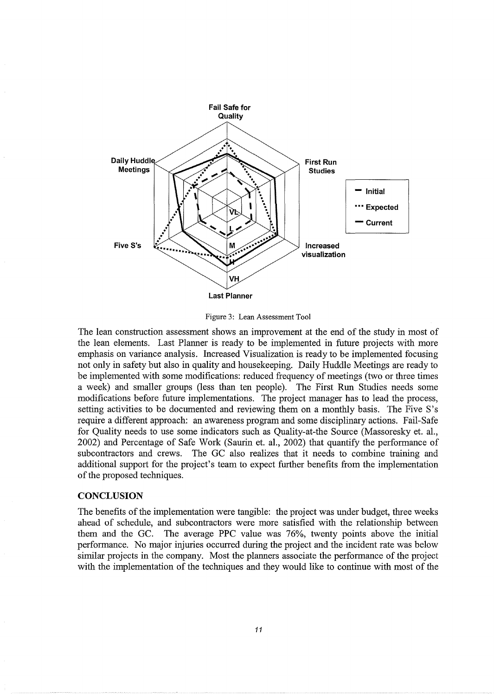

Figure 3: Lean Assessment Tool

The lean construction assessment shows an improvement at the end of the study in most of the lean elements. Last Planner is ready to be implemented in future projects with more emphasis on variance analysis. Increased Visualization is ready to be implemented focusing not only in safety but also in quality and housekeeping. Daily Huddle Meetings are ready to be implemented with some modifications: reduced frequency of meetings (two or three times a week) and smaller groups (less than ten people). The First Run Studies needs some modifications before future implementations. The project manager has to lead the process, setting activities to be documented and reviewing them on a monthly basis. The Five S's require a different approach: an awareness program and some disciplinary actions. Fail-Safe for Quality needs to use some indicators such as Quality-at-the Source (Massoresky et. al., 2002) and Percentage of Safe Work (Saurin et. al., 2002) that quantify the performance of subcontractors and crews. The GC also realizes that it needs to combine training and additional support for the project's team to expect further benefits from the implementation of the proposed techniques.

## **CONCLUSION**

The benefits of the implementation were tangible: the project was under budget, three weeks ahead of schedule, and subcontractors were more satisfied with the relationship between them and the GC. The average PPC value was 76%, twenty points above the initial performance. No major injuries occurred during the project and the incident rate was below similar projects in the company. Most the planners associate the performance of the project with the implementation of the techniques and they would like to continue with most of the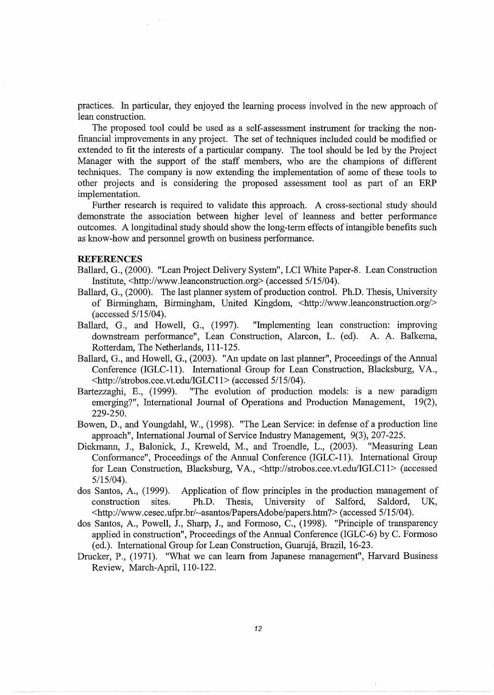practices. In particular, they enjoyed the learning process involved in the new approach of lean construction.

The proposed tool could be used as a self-assessment instrument for tracking the nonfinancial improvements in any project. The set of techniques included could be modified or extended to fit the interests of a particular company. The tool should be led by the Project Manager with the support of the staff members, who are the champions of different techniques. The company is now extending the implementation of some of these tools to other projects and is considering the proposed assessment tool as part of an ERP implementation.

Further research is required to validate this approach. A cross-sectional study should demonstrate the association between higher level of leanness and better performance outcomes. A longitudinal study should show the long-term effects of intangible benefits such as know-how and personnel growth on business performance.

## **REFERENCES**

- Ballard, G., (2000). "Lean Project Delivery System", LCI White Paper-8. Lean Construction Institute, <http:/ /www.leanconstruction.org> (accessed 5/15/04).
- Ballard, G., (2000). The last planner system of production control. Ph.D. Thesis, University of Birmingham, Birmingham, United Kingdom, <http://www.leanconstruction.org/> (accessed 5/15/04).
- Ballard, G., and Howell, G., (1997). "Implementing lean construction: improving downstream performance", Lean Construction, Alarcon, L. (ed). A. A. Balkema, Rotterdam, The Netherlands, 111-125.
- Ballard, G., and Howell, G., (2003). "An update on last planner", Proceedings of the Annual Conference (IGLC-11). International Group for Lean Construction, Blacksburg, VA., <http://strobos.cee.vt.edu/IGLC11> (accessed 5/15/04).
- Bartezzaghi, E., (1999). "The evolution of production models: is a new paradigm emerging?", International Journal of Operations and Production Management, 19(2), 229-250.
- Bowen, D., and Youngdahl, W., (1998). "The Lean Service: in defense of a production line approach", International Journal of Service Industry Management, 9(3), 207-225.
- Diekmann, J., Balonick, J., Kreweld, M., and Troendle, L., (2003). "Measuring Lean Conformance", Proceedings of the Annual Conference (IGLC-11). International Group for Lean Construction, Blacksburg, VA., <http://strobos.cee.vt.edu/IGLC11> (accessed 5/15/04).
- dos Santos, A., (1999). Application of flow principles in the production management of construction sites. Ph.D. Thesis, University of Salford, Saldord, UK, <http://www.cesec.ufpr.br/~asantos/PapersAdobe/papers.htm?> (accessed 5/15/04).
- dos Santos, A., Powell, J., Sharp, J., and Formoso, C., (1998). "Principle of transparency applied in construction", Proceedings of the Annual Conference (IGLC-6) by C. Formoso (ed.). International Group for Lean Construction, Guaruja, Brazil, 16-23.
- Drucker, P., (1971). "What we can learn from Japanese management", Harvard Business Review, March-April, 110-122.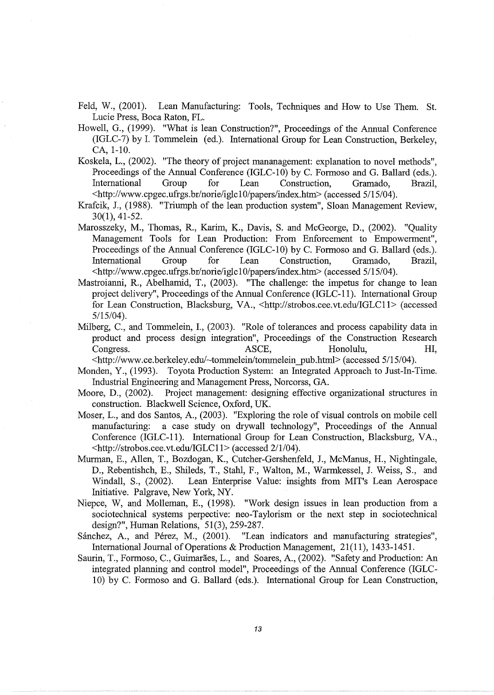- Feld, W., (2001). Lean Manufacturing: Tools, Techniques and How to Use Them. St. Lucie Press, Boca Raton, FL.
- Howell, G., (1999). "What is lean Construction?", Proceedings of the Annual Conference (IGLC-7) by I. Tommelein (ed.). International Group for Lean Construction, Berkeley, CA, 1-10.
- Koskela, L., (2002). "The theory of project mananagement: explanation to novel methods", Proceedings of the Annual Conference (IGLC-10) by C. Formoso and G. Ballard (eds.).<br>International Group for Lean Construction. Gramado. Brazil. International Group for Lean Construction, Gramado, Brazil, <http://www.cpgec.ufrgs.br/norie/iglc10/papers/index.htm> (accessed 5/15/04).
- Krafcik, J., (1988). "Triumph of the lean production system", Sloan Management Review, 30(1), 41-52.
- Marosszeky, M., Thomas, R., Karim, K., Davis, S. and McGeorge, D., (2002). "Quality Management Tools for Lean Production: From Enforcement to Empowerment", Proceedings of the Annual Conference (IGLC-10) by C. Formoso and G. Ballard (eds.). International Group for Lean Construction, Gramado, Brazil, <http://www.cpgec.ufrgs.br/norie/iglc10/papers/index.htm> (accessed 5/15/04).
- Mastroianni, R., Abelhamid, T., (2003). "The challenge: the impetus for change to lean project delivery", Proceedings of the Annual Conference (IGLC-11). International Group for Lean Construction, Blacksburg, VA., <http://strobos.cee.vt.edu/IGLC11> (accessed 5/15/04).
- Milberg, C., and Tommelein, I., (2003). "Role of tolerances and process capability data in product and process design integration", Proceedings of the Construction Research Congress. The ASCE, the Honolulu, HI,

<http://www.ce.berkeley.edu/~tommelein/tommelein \_pub.htrnl> (accessed 5/15/04 ).

- Monden, Y., (1993). Toyota Production System: an Integrated Approach to Just-In-Time. Industrial Engineering and Management Press, Norcorss, GA.
- Moore, D., (2002). Project management: designing effective organizational structures in construction. Blackwell Science, Oxford, UK.
- Moser, L., and dos Santos, A., (2003). "Exploring the role of visual controls on mobile cell manufacturing: a case study on drywall technology", Proceedings of the Annual Conference (IGLC-11 ). International Group for Lean Construction, Blacksburg, VA., <http://strobos.cee.vt.edu/IGLC11> (accessed 2/1/04).
- Murman, E., Allen, T., Bozdogan, K., Cutcher-Gershenfeld, J., McManus, H., Nightingale, D., Rebentishch, E., Shileds, T., Stahl, F., Walton, M., Warmkessel, J. Weiss, S., and Windall, S., (2002). Lean Enterprise Value: insights from MIT's Lean Aerospace Initiative. Palgrave, New York, NY.
- Niepce, W, and Molleman, E., (1998). "Work design issues in lean production from a sociotechnical systems perpective: neo-Taylorism or the next step in sociotechnical design?", Human Relations, 51(3), 259-287.
- Sánchez, A., and Pérez, M., (2001). "Lean indicators and manufacturing strategies", International Journal of Operations & Production Management, 21(11), 1433-1451.
- Saurin, T., Formoso, C., Guimarães, L., and Soares, A., (2002). "Safety and Production: An integrated planning and control model", Proceedings of the Annual Conference (IGLC-10) by C. Formoso and G. Ballard (eds.). International Group for Lean Construction,